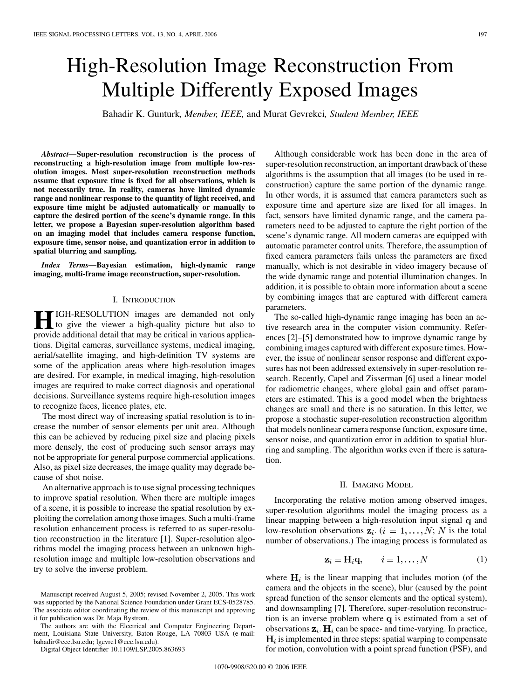# High-Resolution Image Reconstruction From Multiple Differently Exposed Images

Bahadir K. Gunturk*, Member, IEEE,* and Murat Gevrekci*, Student Member, IEEE*

*Abstract—***Super-resolution reconstruction is the process of reconstructing a high-resolution image from multiple low-resolution images. Most super-resolution reconstruction methods assume that exposure time is fixed for all observations, which is not necessarily true. In reality, cameras have limited dynamic range and nonlinear response to the quantity of light received, and exposure time might be adjusted automatically or manually to capture the desired portion of the scene's dynamic range. In this letter, we propose a Bayesian super-resolution algorithm based on an imaging model that includes camera response function, exposure time, sensor noise, and quantization error in addition to spatial blurring and sampling.**

*Index Terms—***Bayesian estimation, high-dynamic range imaging, multi-frame image reconstruction, super-resolution.**

#### I. INTRODUCTION

**HE** IGH-RESOLUTION images are demanded not only to give the viewer a high-quality picture but also to provide additional data if that may be critical in various applica provide additional detail that may be critical in various applications. Digital cameras, surveillance systems, medical imaging, aerial/satellite imaging, and high-definition TV systems are some of the application areas where high-resolution images are desired. For example, in medical imaging, high-resolution images are required to make correct diagnosis and operational decisions. Surveillance systems require high-resolution images to recognize faces, licence plates, etc.

The most direct way of increasing spatial resolution is to increase the number of sensor elements per unit area. Although this can be achieved by reducing pixel size and placing pixels more densely, the cost of producing such sensor arrays may not be appropriate for general purpose commercial applications. Also, as pixel size decreases, the image quality may degrade because of shot noise.

An alternative approach is to use signal processing techniques to improve spatial resolution. When there are multiple images of a scene, it is possible to increase the spatial resolution by exploiting the correlation among those images. Such a multi-frame resolution enhancement process is referred to as super-resolution reconstruction in the literature [\[1](#page-3-0)]. Super-resolution algorithms model the imaging process between an unknown highresolution image and multiple low-resolution observations and try to solve the inverse problem.

The authors are with the Electrical and Computer Engineering Department, Louisiana State University, Baton Rouge, LA 70803 USA (e-mail: bahadir@ece.lsu.edu; lgevre1@ece.lsu.edu).

Digital Object Identifier 10.1109/LSP.2005.863693

Although considerable work has been done in the area of super-resolution reconstruction, an important drawback of these algorithms is the assumption that all images (to be used in reconstruction) capture the same portion of the dynamic range. In other words, it is assumed that camera parameters such as exposure time and aperture size are fixed for all images. In fact, sensors have limited dynamic range, and the camera parameters need to be adjusted to capture the right portion of the scene's dynamic range. All modern cameras are equipped with automatic parameter control units. Therefore, the assumption of fixed camera parameters fails unless the parameters are fixed manually, which is not desirable in video imagery because of the wide dynamic range and potential illumination changes. In addition, it is possible to obtain more information about a scene by combining images that are captured with different camera parameters.

The so-called high-dynamic range imaging has been an active research area in the computer vision community. References [\[2](#page-3-0)]–[\[5](#page-3-0)] demonstrated how to improve dynamic range by combining images captured with different exposure times. However, the issue of nonlinear sensor response and different exposures has not been addressed extensively in super-resolution research. Recently, Capel and Zisserman [[6\]](#page-3-0) used a linear model for radiometric changes, where global gain and offset parameters are estimated. This is a good model when the brightness changes are small and there is no saturation. In this letter, we propose a stochastic super-resolution reconstruction algorithm that models nonlinear camera response function, exposure time, sensor noise, and quantization error in addition to spatial blurring and sampling. The algorithm works even if there is saturation.

## II. IMAGING MODEL

Incorporating the relative motion among observed images, super-resolution algorithms model the imaging process as a linear mapping between a high-resolution input signal  $q$  and low-resolution observations  $z_i$ .  $(i = 1, ..., N; N$  is the total number of observations.) The imaging process is formulated as

$$
\mathbf{z}_i = \mathbf{H}_i \mathbf{q}, \qquad i = 1, \dots, N \tag{1}
$$

where  $H_i$  is the linear mapping that includes motion (of the camera and the objects in the scene), blur (caused by the point spread function of the sensor elements and the optical system), and downsampling [\[7](#page-3-0)]. Therefore, super-resolution reconstruction is an inverse problem where  $q$  is estimated from a set of observations  $z_i$ .  $H_i$  can be space- and time-varying. In practice,  $H_i$  is implemented in three steps: spatial warping to compensate for motion, convolution with a point spread function (PSF), and

Manuscript received August 5, 2005; revised November 2, 2005. This work was supported by the National Science Foundation under Grant ECS-0528785. The associate editor coordinating the review of this manuscript and approving it for publication was Dr. Maja Bystrom.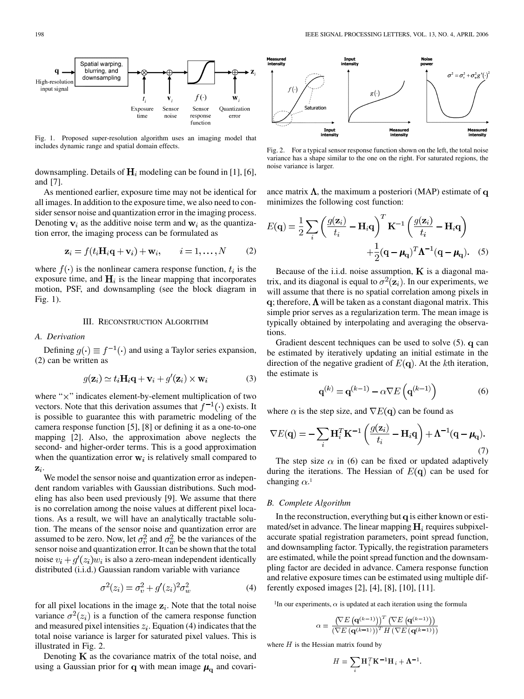

Fig. 1. Proposed super-resolution algorithm uses an imaging model that includes dynamic range and spatial domain effects.

downsampling. Details of  $H_i$  modeling can be found in [[1\]](#page-3-0), [[6\]](#page-3-0), and [\[7](#page-3-0)].

As mentioned earlier, exposure time may not be identical for all images. In addition to the exposure time, we also need to consider sensor noise and quantization error in the imaging process. Denoting  $v_i$  as the additive noise term and  $w_i$  as the quantization error, the imaging process can be formulated as

$$
\mathbf{z}_i = f(t_i \mathbf{H}_i \mathbf{q} + \mathbf{v}_i) + \mathbf{w}_i, \qquad i = 1, \dots, N \tag{2}
$$

where  $f(\cdot)$  is the nonlinear camera response function,  $t_i$  is the exposure time, and  $H_i$  is the linear mapping that incorporates motion, PSF, and downsampling (see the block diagram in Fig. 1).

#### III. RECONSTRUCTION ALGORITHM

# *A. Derivation*

Defining  $q(\cdot) \equiv f^{-1}(\cdot)$  and using a Taylor series expansion, (2) can be written as

$$
g(\mathbf{z}_i) \simeq t_i \mathbf{H}_i \mathbf{q} + \mathbf{v}_i + g'(\mathbf{z}_i) \times \mathbf{w}_i \tag{3}
$$

where " $\times$ " indicates element-by-element multiplication of two vectors. Note that this derivation assumes that  $f^{-1}(\cdot)$  exists. It is possible to guarantee this with parametric modeling of the camera response function [[5\]](#page-3-0), [\[8](#page-3-0)] or defining it as a one-to-one mapping [[2\]](#page-3-0). Also, the approximation above neglects the second- and higher-order terms. This is a good approximation when the quantization error  $w_i$  is relatively small compared to  $\mathbf{z}_i$ .

We model the sensor noise and quantization error as independent random variables with Gaussian distributions. Such modeling has also been used previously [\[9](#page-3-0)]. We assume that there is no correlation among the noise values at different pixel locations. As a result, we will have an analytically tractable solution. The means of the sensor noise and quantization error are assumed to be zero. Now, let  $\sigma_v^2$  and  $\sigma_w^2$  be the variances of the sensor noise and quantization error. It can be shown that the total noise  $v_i + q'(z_i)w_i$  is also a zero-mean independent identically distributed (i.i.d.) Gaussian random variable with variance

$$
\sigma^2(z_i) = \sigma_v^2 + g'(z_i)^2 \sigma_w^2 \tag{4}
$$

for all pixel locations in the image  $z_i$ . Note that the total noise variance  $\sigma^2(z_i)$  is a function of the camera response function and measured pixel intensities  $z_i$ . Equation (4) indicates that the total noise variance is larger for saturated pixel values. This is illustrated in Fig. 2.

Denoting  $K$  as the covariance matrix of the total noise, and using a Gaussian prior for q with mean image  $\mu_{q}$  and covari-



Fig. 2. For a typical sensor response function shown on the left, the total noise variance has a shape similar to the one on the right. For saturated regions, the noise variance is larger.

ance matrix  $\Lambda$ , the maximum a posteriori (MAP) estimate of q minimizes the following cost function:

$$
E(\mathbf{q}) = \frac{1}{2} \sum_{i} \left( \frac{g(\mathbf{z}_i)}{t_i} - \mathbf{H}_i \mathbf{q} \right)^T \mathbf{K}^{-1} \left( \frac{g(\mathbf{z}_i)}{t_i} - \mathbf{H}_i \mathbf{q} \right)
$$

$$
+ \frac{1}{2} (\mathbf{q} - \boldsymbol{\mu}_q)^T \boldsymbol{\Lambda}^{-1} (\mathbf{q} - \boldsymbol{\mu}_q). \quad (5)
$$

Because of the i.i.d. noise assumption,  $K$  is a diagonal matrix, and its diagonal is equal to  $\sigma^2(\mathbf{z}_i)$ . In our experiments, we will assume that there is no spatial correlation among pixels in q; therefore,  $\Lambda$  will be taken as a constant diagonal matrix. This simple prior serves as a regularization term. The mean image is typically obtained by interpolating and averaging the observations.

Gradient descent techniques can be used to solve  $(5)$ . q can be estimated by iteratively updating an initial estimate in the direction of the negative gradient of  $E(\mathbf{q})$ . At the kth iteration, the estimate is

$$
\mathbf{q}^{(k)} = \mathbf{q}^{(k-1)} - \alpha \nabla E\left(\mathbf{q}^{(k-1)}\right) \tag{6}
$$

where  $\alpha$  is the step size, and  $\nabla E(\mathbf{q})$  can be found as

$$
\nabla E(\mathbf{q}) = -\sum_{i} \mathbf{H}_{i}^{T} \mathbf{K}^{-1} \left( \frac{g(\mathbf{z}_{i})}{t_{i}} - \mathbf{H}_{i} \mathbf{q} \right) + \mathbf{\Lambda}^{-1} (\mathbf{q} - \boldsymbol{\mu}_{\mathbf{q}}). \tag{7}
$$

The step size  $\alpha$  in (6) can be fixed or updated adaptively during the iterations. The Hessian of  $E(q)$  can be used for changing  $\alpha$ <sup>1</sup>

#### *B. Complete Algorithm*

In the reconstruction, everything but  $q$  is either known or estimated/set in advance. The linear mapping  $H_i$  requires subpixelaccurate spatial registration parameters, point spread function, and downsampling factor. Typically, the registration parameters are estimated, while the point spread function and the downsampling factor are decided in advance. Camera response function and relative exposure times can be estimated using multiple differently exposed images [[2\]](#page-3-0), [\[4](#page-3-0)], [\[8](#page-3-0)], [[10\]](#page-3-0), [[11\]](#page-3-0).

<sup>1</sup>In our experiments,  $\alpha$  is updated at each iteration using the formula

$$
\alpha = \frac{\left(\nabla E\left(\mathbf{q}^{(k-1)}\right)\right)^T \left(\nabla E\left(\mathbf{q}^{(k-1)}\right)\right)}{\left(\nabla E\left(\mathbf{q}^{(k-1)}\right)\right)^T H\left(\nabla E\left(\mathbf{q}^{(k-1)}\right)\right)}
$$

where  $H$  is the Hessian matrix found by

$$
H = \sum_{i} \mathbf{H}_{i}^{T} \mathbf{K}^{-1} \mathbf{H}_{i} + \mathbf{\Lambda}^{-1}.
$$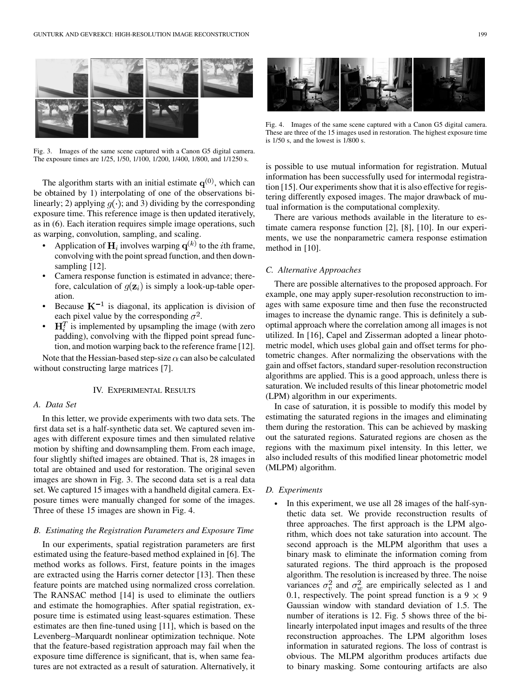

Fig. 3. Images of the same scene captured with a Canon G5 digital camera. The exposure times are 1/25, 1/50, 1/100, 1/200, 1/400, 1/800, and 1/1250 s.

The algorithm starts with an initial estimate  $q^{(0)}$ , which can be obtained by 1) interpolating of one of the observations bilinearly; 2) applying  $g(\cdot)$ ; and 3) dividing by the corresponding exposure time. This reference image is then updated iteratively, as in (6). Each iteration requires simple image operations, such as warping, convolution, sampling, and scaling.

- Application of  $H_i$  involves warping  $q^{(k)}$  to the *i*th frame, convolving with the point spread function, and then downsampling [[12\]](#page-3-0).
- Camera response function is estimated in advance; therefore, calculation of  $g(\mathbf{z}_i)$  is simply a look-up-table operation.
- Because  $K^{-1}$  is diagonal, its application is division of each pixel value by the corresponding  $\sigma^2$ .
- $\mathbf{H}^T_i$  is implemented by upsampling the image (with zero padding), convolving with the flipped point spread function, and motion warping back to the reference frame [\[12](#page-3-0)].

Note that the Hessian-based step-size  $\alpha$  can also be calculated without constructing large matrices [[7\]](#page-3-0).

#### IV. EXPERIMENTAL RESULTS

#### *A. Data Set*

In this letter, we provide experiments with two data sets. The first data set is a half-synthetic data set. We captured seven images with different exposure times and then simulated relative motion by shifting and downsampling them. From each image, four slightly shifted images are obtained. That is, 28 images in total are obtained and used for restoration. The original seven images are shown in Fig. 3. The second data set is a real data set. We captured 15 images with a handheld digital camera. Exposure times were manually changed for some of the images. Three of these 15 images are shown in Fig. 4.

#### *B. Estimating the Registration Parameters and Exposure Time*

In our experiments, spatial registration parameters are first estimated using the feature-based method explained in [\[6](#page-3-0)]. The method works as follows. First, feature points in the images are extracted using the Harris corner detector [[13\]](#page-3-0). Then these feature points are matched using normalized cross correlation. The RANSAC method [\[14](#page-3-0)] is used to eliminate the outliers and estimate the homographies. After spatial registration, exposure time is estimated using least-squares estimation. These estimates are then fine-tuned using [[11\]](#page-3-0), which is based on the Levenberg–Marquardt nonlinear optimization technique. Note that the feature-based registration approach may fail when the exposure time difference is significant, that is, when same features are not extracted as a result of saturation. Alternatively, it



Fig. 4. Images of the same scene captured with a Canon G5 digital camera. These are three of the 15 images used in restoration. The highest exposure time is 1/50 s, and the lowest is 1/800 s.

is possible to use mutual information for registration. Mutual information has been successfully used for intermodal registration [[15\]](#page-3-0). Our experiments show that it is also effective for registering differently exposed images. The major drawback of mutual information is the computational complexity.

There are various methods available in the literature to estimate camera response function [[2\]](#page-3-0), [\[8](#page-3-0)], [[10\]](#page-3-0). In our experiments, we use the nonparametric camera response estimation method in [\[10\]](#page-3-0).

## *C. Alternative Approaches*

There are possible alternatives to the proposed approach. For example, one may apply super-resolution reconstruction to images with same exposure time and then fuse the reconstructed images to increase the dynamic range. This is definitely a suboptimal approach where the correlation among all images is not utilized. In [\[16](#page-3-0)], Capel and Zisserman adopted a linear photometric model, which uses global gain and offset terms for photometric changes. After normalizing the observations with the gain and offset factors, standard super-resolution reconstruction algorithms are applied. This is a good approach, unless there is saturation. We included results of this linear photometric model (LPM) algorithm in our experiments.

In case of saturation, it is possible to modify this model by estimating the saturated regions in the images and eliminating them during the restoration. This can be achieved by masking out the saturated regions. Saturated regions are chosen as the regions with the maximum pixel intensity. In this letter, we also included results of this modified linear photometric model (MLPM) algorithm.

# *D. Experiments*

In this experiment, we use all 28 images of the half-synthetic data set. We provide reconstruction results of three approaches. The first approach is the LPM algorithm, which does not take saturation into account. The second approach is the MLPM algorithm that uses a binary mask to eliminate the information coming from saturated regions. The third approach is the proposed algorithm. The resolution is increased by three. The noise variances  $\sigma_v^2$  and  $\sigma_w^2$  are empirically selected as 1 and 0.1, respectively. The point spread function is a  $9 \times 9$ Gaussian window with standard deviation of 1.5. The number of iterations is 12. Fig. 5 shows three of the bilinearly interpolated input images and results of the three reconstruction approaches. The LPM algorithm loses information in saturated regions. The loss of contrast is obvious. The MLPM algorithm produces artifacts due to binary masking. Some contouring artifacts are also